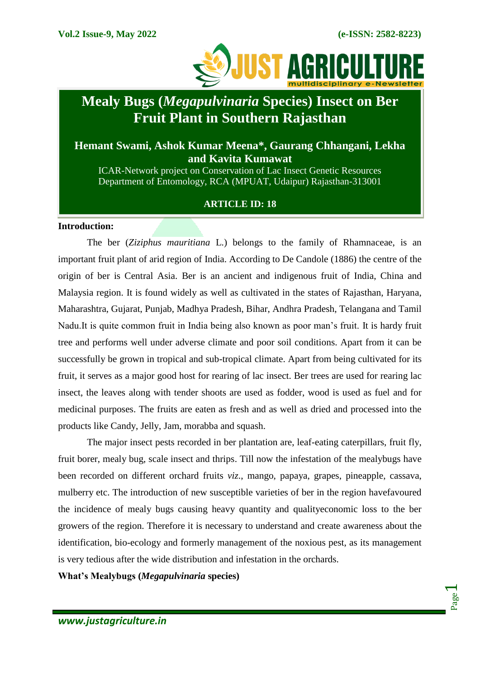Page  $\overline{\phantom{0}}$ 



# **Mealy Bugs (***Megapulvinaria* **Species) Insect on Ber Fruit Plant in Southern Rajasthan**

# **Hemant Swami, Ashok Kumar Meena\*, Gaurang Chhangani, Lekha and Kavita Kumawat**

ICAR-Network project on Conservation of Lac Insect Genetic Resources Department of Entomology, RCA (MPUAT, Udaipur) Rajasthan-313001

#### **ARTICLE ID: 18**

#### **Introduction:**

The ber (*Ziziphus mauritiana* L.) belongs to the family of Rhamnaceae, is an important fruit plant of arid region of India. According to De Candole (1886) the centre of the origin of ber is Central Asia. Ber is an ancient and indigenous fruit of India, China and Malaysia region. It is found widely as well as cultivated in the states of Rajasthan, Haryana, Maharashtra, Gujarat, Punjab, Madhya Pradesh, Bihar, Andhra Pradesh, Telangana and Tamil Nadu.It is quite common fruit in India being also known as poor man's fruit. It is hardy fruit tree and performs well under adverse climate and poor soil conditions. Apart from it can be successfully be grown in tropical and sub-tropical climate. Apart from being cultivated for its fruit, it serves as a major good host for rearing of lac insect. Ber trees are used for rearing lac insect, the leaves along with tender shoots are used as fodder, wood is used as fuel and for medicinal purposes. The fruits are eaten as fresh and as well as dried and processed into the products like Candy, Jelly, Jam, morabba and squash.

The major insect pests recorded in ber plantation are, leaf-eating caterpillars, fruit fly, fruit borer, mealy bug, scale insect and thrips. Till now the infestation of the mealybugs have been recorded on different orchard fruits *viz*., mango, papaya, grapes, pineapple, cassava, mulberry etc. The introduction of new susceptible varieties of ber in the region havefavoured the incidence of mealy bugs causing heavy quantity and qualityeconomic loss to the ber growers of the region. Therefore it is necessary to understand and create awareness about the identification, bio-ecology and formerly management of the noxious pest, as its management is very tedious after the wide distribution and infestation in the orchards.

**What's Mealybugs (***Megapulvinaria* **species)**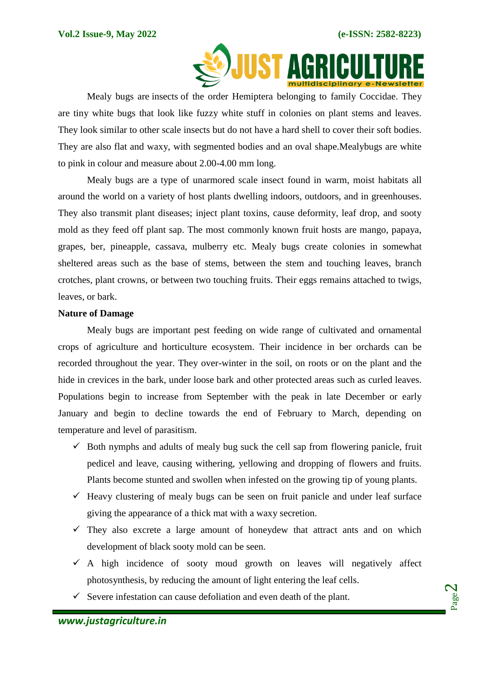

Mealy bugs are [insects](https://a-z-animals.com/animals/insects/) of the order Hemiptera belonging to family Coccidae. They are tiny white bugs that look like fuzzy white stuff in colonies on plant stems and leaves. They look similar to other scale insects but do not have a hard shell to cover their soft bodies. They are also flat and waxy, with segmented bodies and an oval shape.Mealybugs are white to pink in colour and measure about 2.00-4.00 mm long.

Mealy bugs are a type of unarmored scale insect found in warm, moist habitats all around the world on a variety of host plants dwelling indoors, outdoors, and in greenhouses. They also transmit plant diseases; inject plant toxins, cause deformity, leaf drop, and sooty mold as they feed off plant sap. The most commonly known fruit hosts are mango, papaya, grapes, ber, pineapple, cassava, mulberry etc. Mealy bugs create colonies in somewhat sheltered areas such as the base of stems, between the stem and touching leaves, branch crotches, plant crowns, or between two touching fruits. Their eggs remains attached to twigs, leaves, or bark.

#### **Nature of Damage**

Mealy bugs are important pest feeding on wide range of cultivated and ornamental crops of agriculture and horticulture ecosystem. Their incidence in ber orchards can be recorded throughout the year. They over-winter in the soil, on roots or on the plant and the hide in crevices in the bark, under loose bark and other protected areas such as curled leaves. Populations begin to increase from September with the peak in late December or early January and begin to decline towards the end of February to March, depending on temperature and level of parasitism.

- $\checkmark$  Both nymphs and adults of mealy bug suck the cell sap from flowering panicle, fruit pedicel and leave, causing withering, yellowing and dropping of flowers and fruits. Plants become stunted and swollen when infested on the growing tip of young plants.
- $\checkmark$  Heavy clustering of mealy bugs can be seen on fruit panicle and under leaf surface giving the appearance of a thick mat with a waxy secretion.
- $\checkmark$  They also excrete a large amount of honeydew that attract ants and on which development of black sooty mold can be seen.
- $\checkmark$  A high incidence of sooty moud growth on leaves will negatively affect photosynthesis, by reducing the amount of light entering the leaf cells.
- $\checkmark$  Severe infestation can cause defoliation and even death of the plant.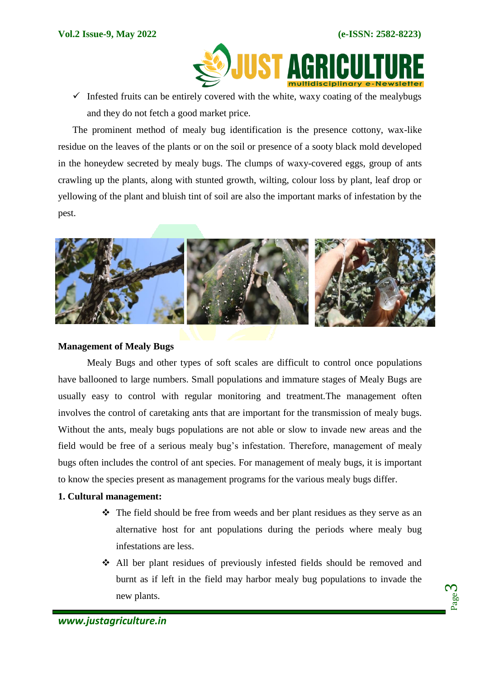

 $\checkmark$  Infested fruits can be entirely covered with the white, waxy coating of the mealybugs and they do not fetch a good market price.

The prominent method of mealy bug identification is the presence cottony, wax-like residue on the leaves of the plants or on the soil or presence of a sooty black mold developed in the honeydew secreted by mealy bugs. The clumps of waxy-covered eggs, group of ants crawling up the plants, along with stunted growth, wilting, colour loss by plant, leaf drop or yellowing of the plant and bluish tint of soil are also the important marks of infestation by the pest.



# **Management of Mealy Bugs**

Mealy Bugs and other types of soft scales are difficult to control once populations have ballooned to large numbers. Small populations and immature stages of Mealy Bugs are usually easy to control with regular monitoring and treatment.The management often involves the control of caretaking ants that are important for the transmission of mealy bugs. Without the ants, mealy bugs populations are not able or slow to invade new areas and the field would be free of a serious mealy bug's infestation. Therefore, management of mealy bugs often includes the control of ant species. For management of mealy bugs, it is important to know the species present as management programs for the various mealy bugs differ.

#### **1. Cultural management:**

- $\hat{\mathbf{v}}$  The field should be free from weeds and ber plant residues as they serve as an alternative host for ant populations during the periods where mealy bug infestations are less.
- All ber plant residues of previously infested fields should be removed and burnt as if left in the field may harbor mealy bug populations to invade the new plants.

Page က $\,$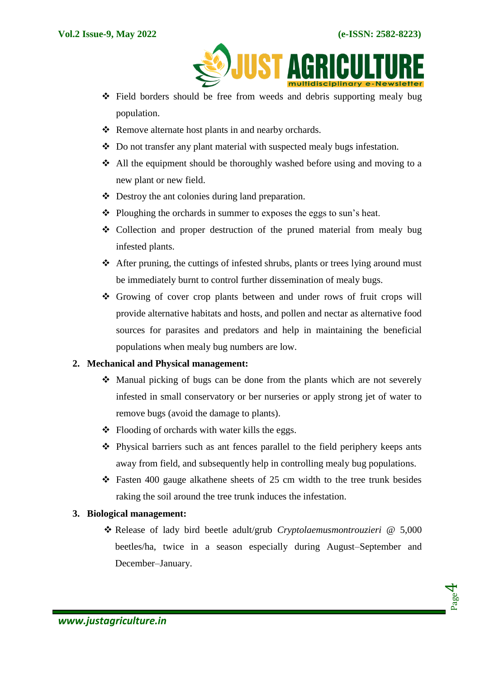

- Field borders should be free from weeds and debris supporting mealy bug population.
- \* Remove alternate host plants in and nearby orchards.
- $\triangle$  Do not transfer any plant material with suspected mealy bugs infestation.
- $\triangleleft$  All the equipment should be thoroughly washed before using and moving to a new plant or new field.
- Destroy the ant colonies during land preparation.
- Ploughing the orchards in summer to exposes the eggs to sun's heat.
- Collection and proper destruction of the pruned material from mealy bug infested plants.
- $\triangle$  After pruning, the cuttings of infested shrubs, plants or trees lying around must be immediately burnt to control further dissemination of mealy bugs.
- Growing of cover crop plants between and under rows of fruit crops will provide alternative habitats and hosts, and pollen and nectar as alternative food sources for parasites and predators and help in maintaining the beneficial populations when mealy bug numbers are low.

# **2. Mechanical and Physical management:**

- $\div$  Manual picking of bugs can be done from the plants which are not severely infested in small conservatory or ber nurseries or apply strong jet of water to remove bugs (avoid the damage to plants).
- $\triangle$  Flooding of orchards with water kills the eggs.
- Physical barriers such as ant fences parallel to the field periphery keeps ants away from field, and subsequently help in controlling mealy bug populations.
- $\div$  Fasten 400 gauge alkathene sheets of 25 cm width to the tree trunk besides raking the soil around the tree trunk induces the infestation.

# **3. Biological management:**

 Release of lady bird beetle adult/grub *Cryptolaemusmontrouzieri* @ 5,000 beetles/ha, twice in a season especially during August–September and December–January.